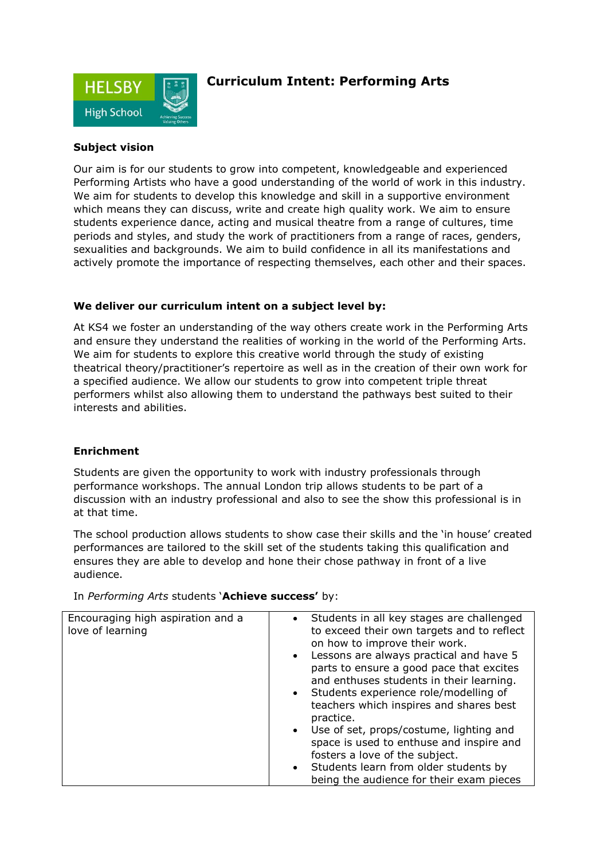

## **Curriculum Intent: Performing Arts**

### **Subject vision**

Our aim is for our students to grow into competent, knowledgeable and experienced Performing Artists who have a good understanding of the world of work in this industry. We aim for students to develop this knowledge and skill in a supportive environment which means they can discuss, write and create high quality work. We aim to ensure students experience dance, acting and musical theatre from a range of cultures, time periods and styles, and study the work of practitioners from a range of races, genders, sexualities and backgrounds. We aim to build confidence in all its manifestations and actively promote the importance of respecting themselves, each other and their spaces.

#### **We deliver our curriculum intent on a subject level by:**

At KS4 we foster an understanding of the way others create work in the Performing Arts and ensure they understand the realities of working in the world of the Performing Arts. We aim for students to explore this creative world through the study of existing theatrical theory/practitioner's repertoire as well as in the creation of their own work for a specified audience. We allow our students to grow into competent triple threat performers whilst also allowing them to understand the pathways best suited to their interests and abilities.

#### **Enrichment**

Students are given the opportunity to work with industry professionals through performance workshops. The annual London trip allows students to be part of a discussion with an industry professional and also to see the show this professional is in at that time.

The school production allows students to show case their skills and the 'in house' created performances are tailored to the skill set of the students taking this qualification and ensures they are able to develop and hone their chose pathway in front of a live audience.

In *Performing Arts* students '**Achieve success'** by:

| Encouraging high aspiration and a<br>love of learning | Students in all key stages are challenged<br>to exceed their own targets and to reflect<br>on how to improve their work.<br>• Lessons are always practical and have 5<br>parts to ensure a good pace that excites<br>and enthuses students in their learning.<br>• Students experience role/modelling of<br>teachers which inspires and shares best<br>practice.<br>• Use of set, props/costume, lighting and<br>space is used to enthuse and inspire and<br>fosters a love of the subject.<br>Students learn from older students by |
|-------------------------------------------------------|--------------------------------------------------------------------------------------------------------------------------------------------------------------------------------------------------------------------------------------------------------------------------------------------------------------------------------------------------------------------------------------------------------------------------------------------------------------------------------------------------------------------------------------|
|                                                       |                                                                                                                                                                                                                                                                                                                                                                                                                                                                                                                                      |
|                                                       | being the audience for their exam pieces                                                                                                                                                                                                                                                                                                                                                                                                                                                                                             |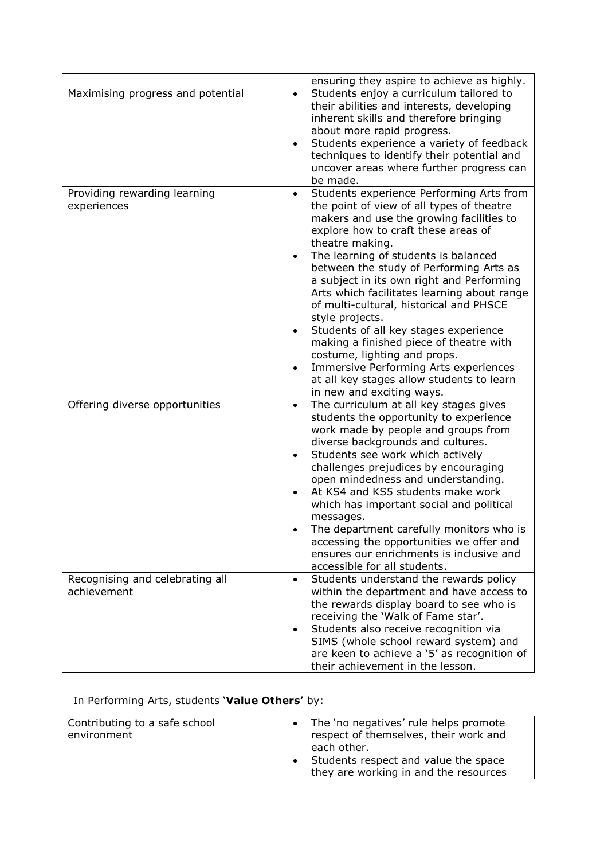|                                   |           | ensuring they aspire to achieve as highly.  |
|-----------------------------------|-----------|---------------------------------------------|
| Maximising progress and potential | $\bullet$ | Students enjoy a curriculum tailored to     |
|                                   |           | their abilities and interests, developing   |
|                                   |           | inherent skills and therefore bringing      |
|                                   |           | about more rapid progress.                  |
|                                   | $\bullet$ | Students experience a variety of feedback   |
|                                   |           | techniques to identify their potential and  |
|                                   |           | uncover areas where further progress can    |
|                                   |           | be made.                                    |
|                                   |           |                                             |
| Providing rewarding learning      | $\bullet$ | Students experience Performing Arts from    |
| experiences                       |           | the point of view of all types of theatre   |
|                                   |           | makers and use the growing facilities to    |
|                                   |           | explore how to craft these areas of         |
|                                   |           | theatre making.                             |
|                                   |           | The learning of students is balanced        |
|                                   |           | between the study of Performing Arts as     |
|                                   |           | a subject in its own right and Performing   |
|                                   |           | Arts which facilitates learning about range |
|                                   |           | of multi-cultural, historical and PHSCE     |
|                                   |           | style projects.                             |
|                                   |           | Students of all key stages experience       |
|                                   |           | making a finished piece of theatre with     |
|                                   |           |                                             |
|                                   |           | costume, lighting and props.                |
|                                   |           | Immersive Performing Arts experiences       |
|                                   |           | at all key stages allow students to learn   |
|                                   |           | in new and exciting ways.                   |
| Offering diverse opportunities    | $\bullet$ | The curriculum at all key stages gives      |
|                                   |           | students the opportunity to experience      |
|                                   |           | work made by people and groups from         |
|                                   |           | diverse backgrounds and cultures.           |
|                                   | $\bullet$ | Students see work which actively            |
|                                   |           | challenges prejudices by encouraging        |
|                                   |           | open mindedness and understanding.          |
|                                   |           | At KS4 and KS5 students make work           |
|                                   |           | which has important social and political    |
|                                   |           | messages.                                   |
|                                   |           | The department carefully monitors who is    |
|                                   |           | accessing the opportunities we offer and    |
|                                   |           | ensures our enrichments is inclusive and    |
|                                   |           | accessible for all students.                |
| Recognising and celebrating all   |           |                                             |
| achievement                       |           | Students understand the rewards policy      |
|                                   |           | within the department and have access to    |
|                                   |           | the rewards display board to see who is     |
|                                   |           | receiving the 'Walk of Fame star'.          |
|                                   |           | Students also receive recognition via       |
|                                   |           | SIMS (whole school reward system) and       |
|                                   |           | are keen to achieve a '5' as recognition of |
|                                   |           | their achievement in the lesson.            |

# In Performing Arts, students '**Value Others'** by:

| Contributing to a safe school<br>environment | • The 'no negatives' rule helps promote<br>respect of themselves, their work and<br>each other. |
|----------------------------------------------|-------------------------------------------------------------------------------------------------|
|                                              | • Students respect and value the space<br>they are working in and the resources                 |